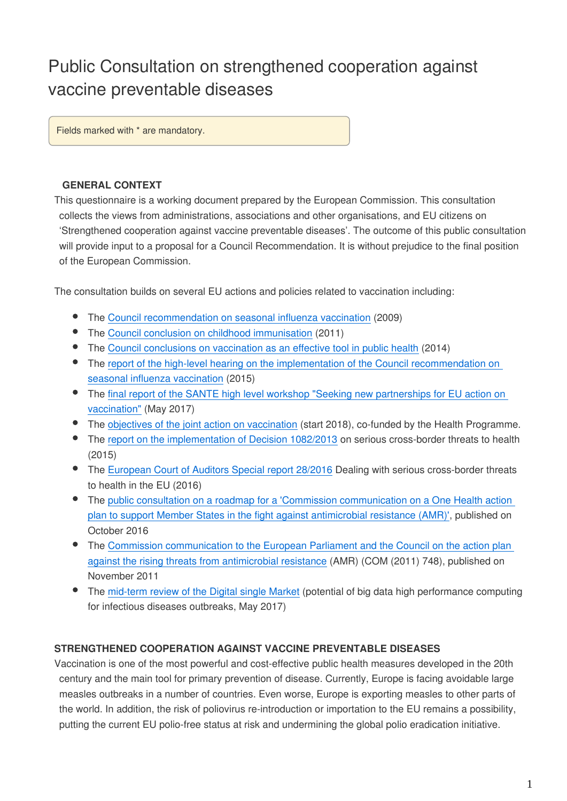# Public Consultation on strengthened cooperation against vaccine preventable diseases

Fields marked with \* are mandatory.

### **GENERAL CONTEXT**

This questionnaire is a working document prepared by the European Commission. This consultation collects the views from administrations, associations and other organisations, and EU citizens on 'Strengthened cooperation against vaccine preventable diseases'. The outcome of this public consultation will provide input to a proposal for a Council Recommendation. It is without prejudice to the final position of the European Commission.

The consultation builds on several EU actions and policies related to vaccination including:

- The [Council recommendation on seasonal influenza vaccination](http://eur-lex.europa.eu/legal-content/EN/TXT/?uri=CELEX:32009H1019) (2009)
- The [Council conclusion on childhood immunisation](https://ec.europa.eu/health/sites/health/files/vaccination/docs/ev_20170530_frep_en.pdf) (2011)
- The [Council conclusions on vaccination as an effective tool in public health](http://www.consilium.europa.eu/uedocs/cms_data/docs/pressdata/en/lsa/145973.pdf) (2014)
- The report of the high-level hearing on the implementation of the Council recommendation on [seasonal influenza vaccination](https://ec.europa.eu/health/sites/health/files/preparedness_response/docs/ev_20150429_co21_en.pdf) (2015)
- The [final report of the SANTE high level workshop "Seeking new partnerships for EU action on](https://ec.europa.eu/health/sites/health/files/vaccination/docs/ev_20170530_frep_en.pdf)  [vaccination"](https://ec.europa.eu/health/sites/health/files/vaccination/docs/ev_20170530_frep_en.pdf) (May 2017)
- The [objectives of the joint action on vaccination](https://ec.europa.eu/health/vaccination/overview_en) (start 2018), co-funded by the Health Programme.
- The [report on the implementation of Decision 1082/2013](https://ec.europa.eu/health//sites/health/files/preparedness_response/docs/report_decision_serious_crossborder_threats_22102013_en.pdf) on serious cross-border threats to health (2015)
- The [European Court of Auditors Special report 28/2016](https://www.eca.europa.eu/en/Pages/DocItem.aspx?did=40126) Dealing with serious cross-border threats to health in the EU (2016)
- The [public consultation on a roadmap for a 'Commission communication on a One Health action](http://ec.europa.eu/smart-regulation/roadmaps/docs/2016_sante_176_action_plan_against_amr_en.pdf)  [plan to support Member States in the fight against antimicrobial resistance \(AMR\)'](http://ec.europa.eu/smart-regulation/roadmaps/docs/2016_sante_176_action_plan_against_amr_en.pdf), published on October 2016
- The Commission communication to the European Parliament and the Council on the action plan [against the rising threats from antimicrobial resistance](https://ec.europa.eu/health/amr/sites/amr/files/communication_amr_2011_748_en.pdf) (AMR) (COM (2011) 748), published on November 2011
- The [mid-term review of the Digital single Market](http://eur-lex.europa.eu/legal-content/EN/TXT/?uri=CELEX:52017DC0228) (potential of big data high performance computing for infectious diseases outbreaks, May 2017)

### **STRENGTHENED COOPERATION AGAINST VACCINE PREVENTABLE DISEASES**

Vaccination is one of the most powerful and cost-effective public health measures developed in the 20th century and the main tool for primary prevention of disease. Currently, Europe is facing avoidable large measles outbreaks in a number of countries. Even worse, Europe is exporting measles to other parts of the world. In addition, the risk of poliovirus re-introduction or importation to the EU remains a possibility, putting the current EU polio-free status at risk and undermining the global polio eradication initiative.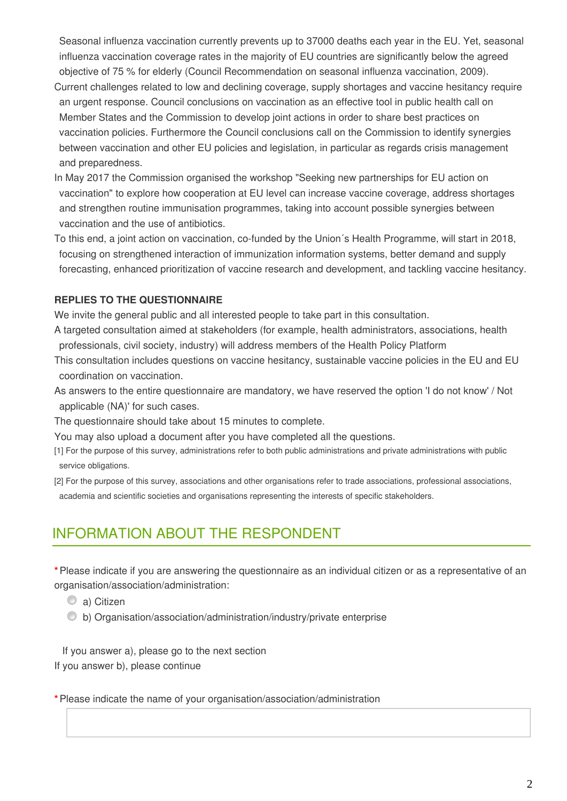Seasonal influenza vaccination currently prevents up to 37000 deaths each year in the EU. Yet, seasonal influenza vaccination coverage rates in the majority of EU countries are significantly below the agreed objective of 75 % for elderly (Council Recommendation on seasonal influenza vaccination, 2009).

- Current challenges related to low and declining coverage, supply shortages and vaccine hesitancy require an urgent response. Council conclusions on vaccination as an effective tool in public health call on Member States and the Commission to develop joint actions in order to share best practices on vaccination policies. Furthermore the Council conclusions call on the Commission to identify synergies between vaccination and other EU policies and legislation, in particular as regards crisis management and preparedness.
- In May 2017 the Commission organised the workshop "Seeking new partnerships for EU action on vaccination" to explore how cooperation at EU level can increase vaccine coverage, address shortages and strengthen routine immunisation programmes, taking into account possible synergies between vaccination and the use of antibiotics.
- To this end, a joint action on vaccination, co-funded by the Union´s Health Programme, will start in 2018, focusing on strengthened interaction of immunization information systems, better demand and supply forecasting, enhanced prioritization of vaccine research and development, and tackling vaccine hesitancy.

### **REPLIES TO THE QUESTIONNAIRE**

We invite the general public and all interested people to take part in this consultation.

- A targeted consultation aimed at stakeholders (for example, health administrators, associations, health professionals, civil society, industry) will address members of the Health Policy Platform
- This consultation includes questions on vaccine hesitancy, sustainable vaccine policies in the EU and EU coordination on vaccination.
- As answers to the entire questionnaire are mandatory, we have reserved the option 'I do not know' / Not applicable (NA)' for such cases.
- The questionnaire should take about 15 minutes to complete.

You may also upload a document after you have completed all the questions.

- [1] For the purpose of this survey, administrations refer to both public administrations and private administrations with public service obligations.
- [2] For the purpose of this survey, associations and other organisations refer to trade associations, professional associations, academia and scientific societies and organisations representing the interests of specific stakeholders.

### INFORMATION ABOUT THE RESPONDENT

**\***Please indicate if you are answering the questionnaire as an individual citizen or as a representative of an organisation/association/administration:

- C a) Citizen
- b) Organisation/association/administration/industry/private enterprise

 If you answer a), please go to the next section If you answer b), please continue

**\***Please indicate the name of your organisation/association/administration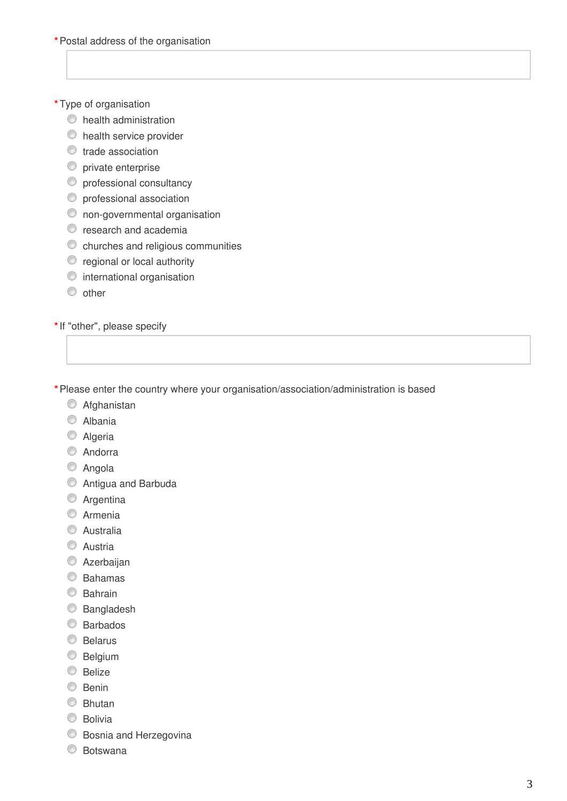### **\***Type of organisation

- $\bullet$  health administration
- $\bullet$  health service provider
- trade association
- **O** private enterprise
- $\bullet$  professional consultancy
- $\bullet$  professional association
- $\circledcirc$  non-governmental organisation
- $\bullet$  research and academia
- $\bullet$  churches and religious communities
- $\bullet$  regional or local authority
- $\bullet$  international organisation
- $\circ$  other

**\***If "other", please specify

**\***Please enter the country where your organisation/association/administration is based

- **C** Afghanistan
- C Albania
- C Algeria
- C Andorra
- C Angola
- Antigua and Barbuda
- C Argentina
- C Armenia
- C Australia
- C Austria
- **C** Azerbaijan
- Bahamas
- C Bahrain
- C Bangladesh
- Barbados
- **Belarus**
- **Belgium**
- $\bullet$  Belize
- $\circledcirc$  Benin
- C Bhutan
- **Bolivia**
- Bosnia and Herzegovina
- Botswana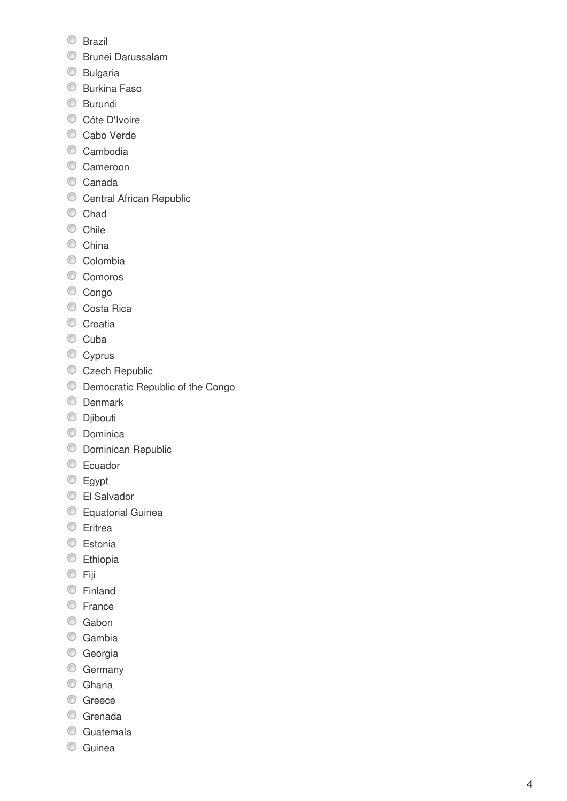- **Brazil**
- Brunei Darussalam
- **Bulgaria**
- **Burkina Faso**
- **Burundi**
- Côte D'Ivoire
- Cabo Verde
- Cambodia
- Cameroon
- Canada
- Central African Republic
- Chad
- Chile
- China
- Colombia
- Comoros
- Congo
- Costa Rica
- Croatia
- Cuba
- Cyprus
- Czech Republic
- Democratic Republic of the Congo
- **O** Denmark
- **Djibouti**
- C Dominica
- **Dominican Republic**
- C Ecuador
- **Egypt**
- El Salvador
- **Equatorial Guinea**
- **Eritrea**
- **Estonia**
- **Ethiopia**
- © Fiji
- Finland
- C France
- C Gabon
- C Gambia
- **Georgia**
- C Germany
- C Ghana
- C Greece
- C Grenada
- **C** Guatemala
- **C** Guinea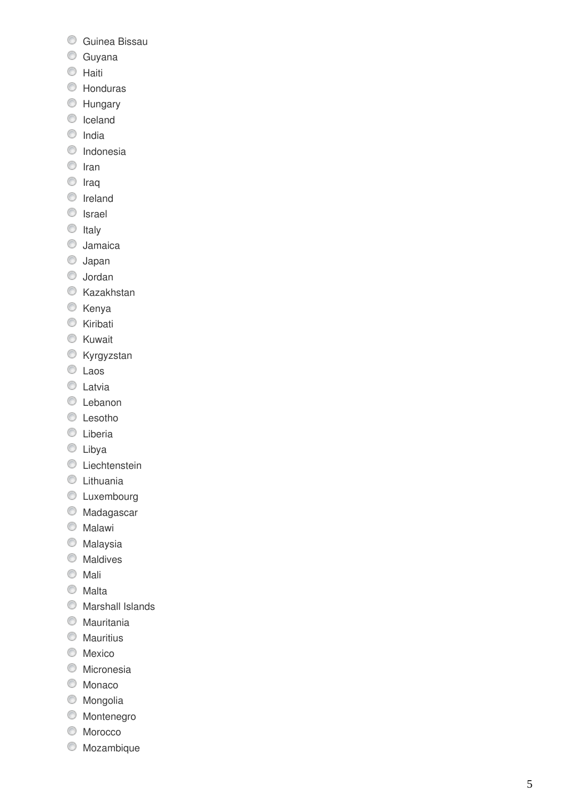- **C** Guinea Bissau
- **Guyana**
- **C** Haiti
- Honduras
- **Hungary**
- **C** Iceland
- $\circ$  India
- **O** Indonesia
- <sup>O</sup> Iran
- <sup>O</sup> Iraq
- **O** Ireland
- **O** Israel
- $\circ$  Italy
- **Jamaica**
- Japan
- Jordan
- **Kazakhstan**
- **Kenya**
- **Kiribati**
- **Kuwait**
- **Kyrgyzstan**
- C Laos
- C Latvia
- **C** Lebanon
- **C** Lesotho
- C Liberia
- **C** Libya
- **C** Liechtenstein
- **C** Lithuania
- $\textcircled{}$  Luxembourg
- Madagascar
- **Malawi**
- **Malaysia**
- **Maldives**
- **Mali**
- Malta
- $\circ$  Marshall Islands
- Mauritania
- **Mauritius**
- **Mexico**
- **Micronesia**
- C Monaco
- Mongolia
- Montenegro
- **Morocco**
- Mozambique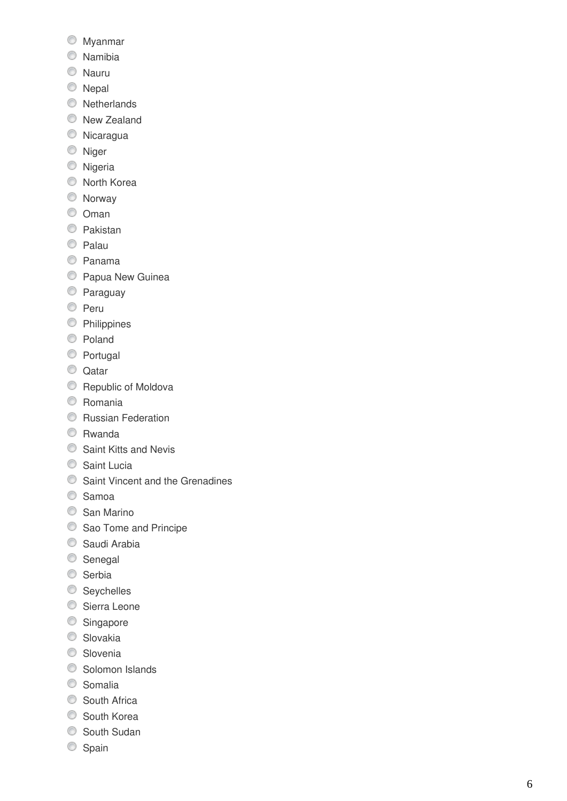- Myanmar
- Namibia
- **Nauru**
- **Nepal**
- **Netherlands**
- **New Zealand**
- Nicaragua
- <sup>O</sup> Niger
- **Nigeria**
- North Korea
- Norway
- $\circ$  Oman
- **C** Pakistan
- C Palau
- Panama
- **Papua New Guinea**
- Paraguay
- O Peru
- **C** Philippines
- Poland
- **Portugal**
- C Qatar
- **Republic of Moldova**
- C Romania
- **C** Russian Federation
- Rwanda
- **Saint Kitts and Nevis**
- Saint Lucia
- **Saint Vincent and the Grenadines**
- C Samoa
- San Marino
- Sao Tome and Principe
- Saudi Arabia
- Senegal
- Serbia
- Seychelles
- Sierra Leone
- Singapore
- C Slovakia
- **Slovenia**
- **Solomon Islands**
- C Somalia
- South Africa
- **South Korea**
- South Sudan
- Spain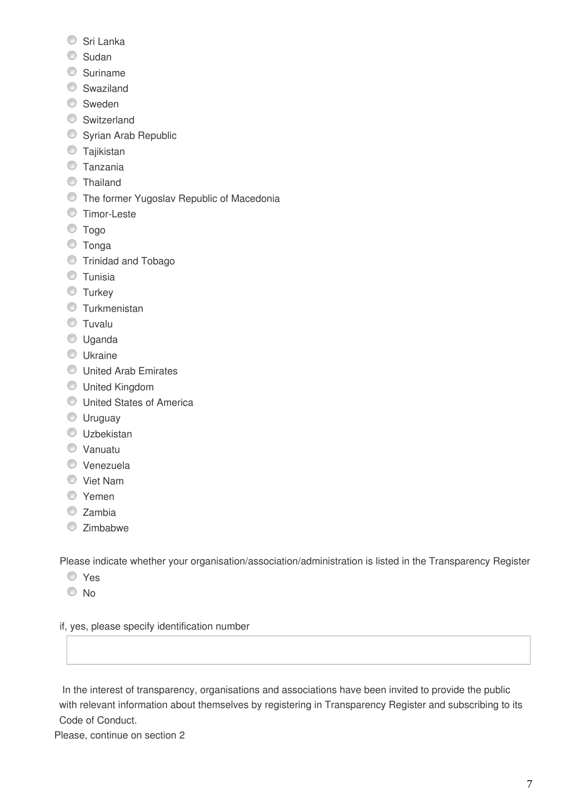- Sri Lanka
- C Sudan
- **Suriname**
- **Swaziland**
- **Sweden**
- Switzerland
- Syrian Arab Republic
- **Tajikistan**
- **Tanzania**
- Thailand
- **The former Yugoslav Republic of Macedonia**
- **Timor-Leste**
- Togo
- Tonga
- Trinidad and Tobago
- **Tunisia**
- **Turkey**
- **O** Turkmenistan
- **Tuvalu**
- Uganda
- **Ukraine**
- **C** United Arab Emirates
- United Kingdom
- **United States of America**
- **Uruguay**
- **Uzbekistan**
- Vanuatu
- Venezuela
- Viet Nam
- O Yemen
- C Zambia
- Zimbabwe

Please indicate whether your organisation/association/administration is listed in the Transparency Register

- Yes
- © No

if, yes, please specify identification number

 In the interest of transparency, organisations and associations have been invited to provide the public with relevant information about themselves by registering in Transparency Register and subscribing to its Code of Conduct.

Please, continue on section 2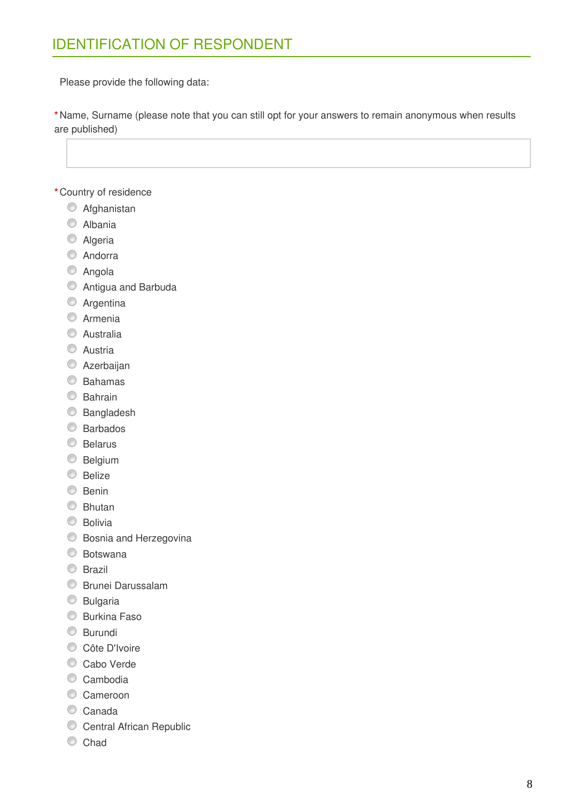Please provide the following data:

**\***Name, Surname (please note that you can still opt for your answers to remain anonymous when results are published)

**\***Country of residence

- **C** Afghanistan
- C Albania
- C Algeria
- C Andorra
- C Angola
- Antigua and Barbuda
- **C** Argentina
- **C** Armenia
- C Australia
- C Austria
- **C** Azerbaijan
- Bahamas
- **Bahrain**
- C Bangladesh
- Barbados
- **Belarus**
- **Belgium**
- **Belize**
- C Benin
- **Bhutan**
- **Bolivia**
- **Bosnia and Herzegovina**
- Botswana
- **Brazil**
- **Brunei Darussalam**
- **Bulgaria**
- **Burkina Faso**
- **Burundi**
- Côte D'Ivoire
- Cabo Verde
- Cambodia
- **Cameroon**
- Canada
- Central African Republic
- C Chad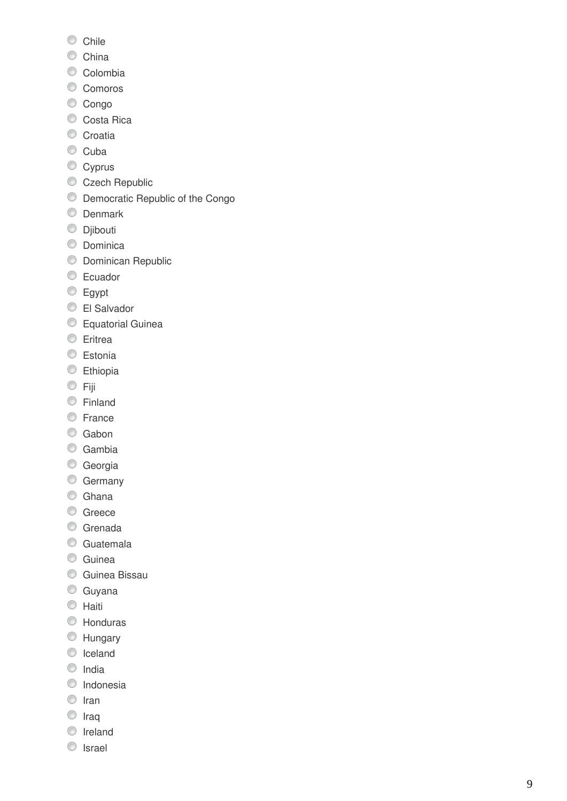- Chile
- C China
- Colombia
- Comoros
- Congo
- Costa Rica
- Croatia
- Cuba
- Cyprus
- Czech Republic
- O Democratic Republic of the Congo
- **O** Denmark
- **Djibouti**
- **O** Dominica
- **Dominican Republic**
- C Ecuador
- **Egypt**
- El Salvador
- **Equatorial Guinea**
- **Eritrea**
- **Estonia**
- **Ethiopia**
- © Fiji
- **Einland**
- **E**rance
- C Gabon
- C Gambia
- **Georgia**
- C Germany
- C Ghana
- C Greece
- **Grenada**
- C Guatemala
- **C** Guinea
- **C** Guinea Bissau
- **Guyana**
- C Haiti
- Honduras
- Hungary
- **C** Iceland
- $\circ$  India
- <sup>O</sup> Indonesia
- $\circ$  Iran
- $\circ$  Iraq
- **O** Ireland
- **O** Israel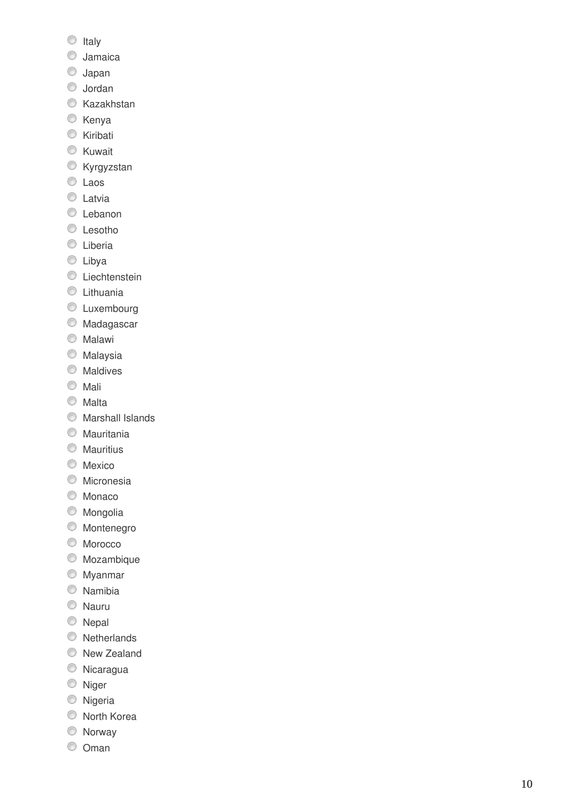- $\circ$  Italy
- Jamaica
- Japan
- Jordan
- **Kazakhstan**
- C Kenya
- **Kiribati**
- **Kuwait**
- **Kyrgyzstan**
- C Laos
- **C** Latvia
- **C** Lebanon
- C Lesotho
- **C** Liberia
- **C** Libya
- **C** Liechtenstein
- **C** Lithuania
- **C** Luxembourg
- **Madagascar**
- **Malawi**
- **Malaysia**
- **Maldives**
- **Mali**
- Malta
- $\circ$  Marshall Islands
- Mauritania
- **Mauritius**
- **Mexico**
- **O** Micronesia
- C Monaco
- Mongolia
- **Montenegro**
- C Morocco
- Mozambique
- Myanmar
- Namibia
- Nauru
- C Nepal
- **Netherlands**
- **New Zealand**
- Nicaragua
- <sup>O</sup> Niger
- **Nigeria**
- North Korea
- Norway
- Oman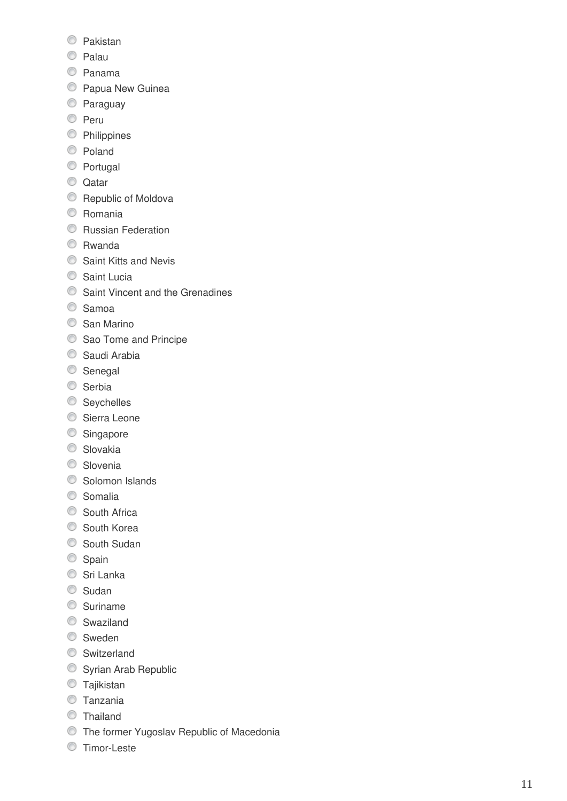- Pakistan
- C Palau
- Panama
- **Papua New Guinea**
- Paraguay
- <sup>O</sup> Peru
- **C** Philippines
- Poland
- **Portugal**
- C Qatar
- **Republic of Moldova**
- C Romania
- **C** Russian Federation
- Rwanda
- **Saint Kitts and Nevis**
- Saint Lucia
- **Saint Vincent and the Grenadines**
- C Samoa
- C San Marino
- Sao Tome and Principe
- Saudi Arabia
- Senegal
- Serbia
- Seychelles
- Sierra Leone
- Singapore
- C Slovakia
- C Slovenia
- **◯** Solomon Islands
- C Somalia
- South Africa
- South Korea
- South Sudan
- Spain
- Sri Lanka
- C Sudan
- C Suriname
- Swaziland
- Sweden
- Switzerland
- **Syrian Arab Republic**
- **Tajikistan**
- **Tanzania**
- **Thailand**
- The former Yugoslav Republic of Macedonia
- **Timor-Leste**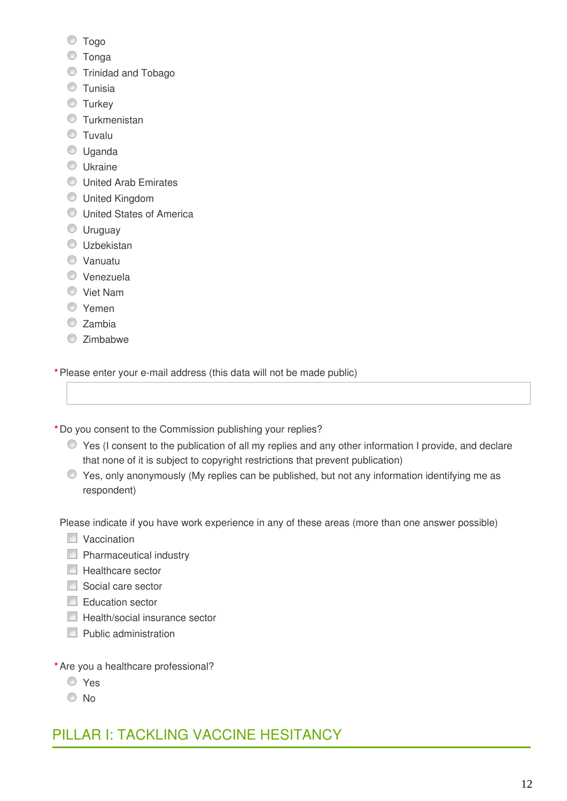- Togo
- Tonga
- **Trinidad and Tobago**
- **O** Tunisia
- **Turkey**
- **Turkmenistan**
- **C** Tuvalu
- **Uganda**
- **Ukraine**
- **United Arab Emirates**
- United Kingdom
- **C** United States of America
- **Uruguay**
- **Uzbekistan**
- Vanuatu
- Venezuela
- Viet Nam
- Yemen
- O Zambia
- Zimbabwe

**\***Please enter your e-mail address (this data will not be made public)

**\***Do you consent to the Commission publishing your replies?

- Yes (I consent to the publication of all my replies and any other information I provide, and declare that none of it is subject to copyright restrictions that prevent publication)
- Yes, only anonymously (My replies can be published, but not any information identifying me as respondent)

Please indicate if you have work experience in any of these areas (more than one answer possible)

- **Naccination**
- **Pharmaceutical industry**
- $\Box$  Healthcare sector
- Social care sector
- Education sector
- $\Box$  Health/social insurance sector
- $\Box$  Public administration
- **\***Are you a healthcare professional?
	- Yes
	- $\odot$  No

## PILLAR I: TACKLING VACCINE HESITANCY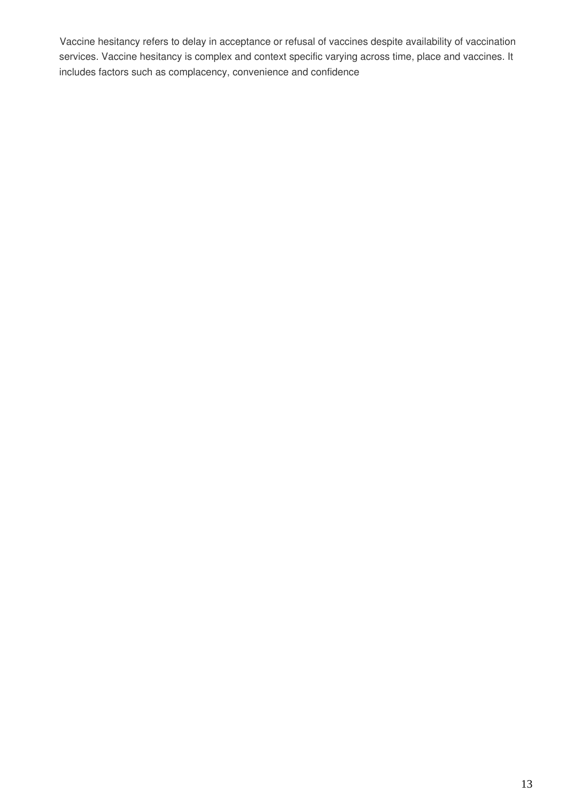Vaccine hesitancy refers to delay in acceptance or refusal of vaccines despite availability of vaccination services. Vaccine hesitancy is complex and context specific varying across time, place and vaccines. It includes factors such as complacency, convenience and confidence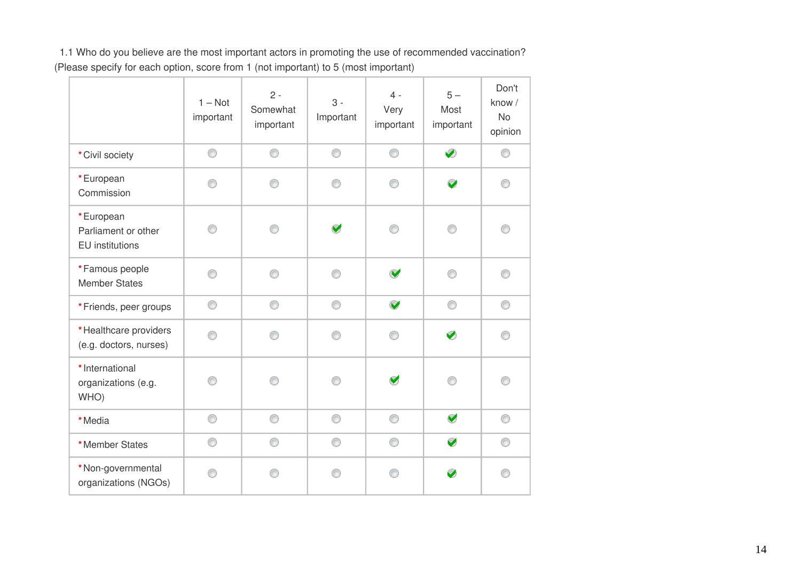1.1 Who do you believe are the most important actors in promoting the use of recommended vaccination? (Please specify for each option, score from 1 (not important) to 5 (most important)

|                                                            | $1 - Not$<br>important | $2 -$<br>Somewhat<br>important | $3 -$<br>Important   | $4 -$<br>Very<br>important | $5-$<br>Most<br>important | Don't<br>know /<br><b>No</b><br>opinion |
|------------------------------------------------------------|------------------------|--------------------------------|----------------------|----------------------------|---------------------------|-----------------------------------------|
| * Civil society                                            | 0                      | 0                              | 0                    | 0                          | Ø                         | ⊙                                       |
| *European<br>Commission                                    | ∩                      | ⋒                              | ⋒                    | ∩                          | $\blacktriangleright$     | ⊙                                       |
| *European<br>Parliament or other<br><b>EU</b> institutions | ⋒                      | ⋒                              | $\blacktriangledown$ |                            | ∩                         |                                         |
| *Famous people<br><b>Member States</b>                     | ⊙                      | ∩                              | ⋒                    | V                          | ∩                         | ⊙                                       |
| *Friends, peer groups                                      | 0                      | 0                              | ◉                    | $\blacktriangledown$       | ⊙                         | 0                                       |
| * Healthcare providers<br>(e.g. doctors, nurses)           | ∩                      | ∩                              |                      | ⊙                          | Ø                         | ⊙                                       |
| * International<br>organizations (e.g.<br>WHO)             | n                      | ⋒                              | ⋒                    | $\blacktriangledown$       | ⊙                         | ⊙                                       |
| *Media                                                     | 0                      | 0                              | 0                    | 0                          | V                         | 0                                       |
| *Member States                                             | ⊙                      | ⊙                              | ⊙                    | ⊙                          | V                         | ⊙                                       |
| *Non-governmental<br>organizations (NGOs)                  |                        |                                |                      |                            | $\bullet$                 | ⋒                                       |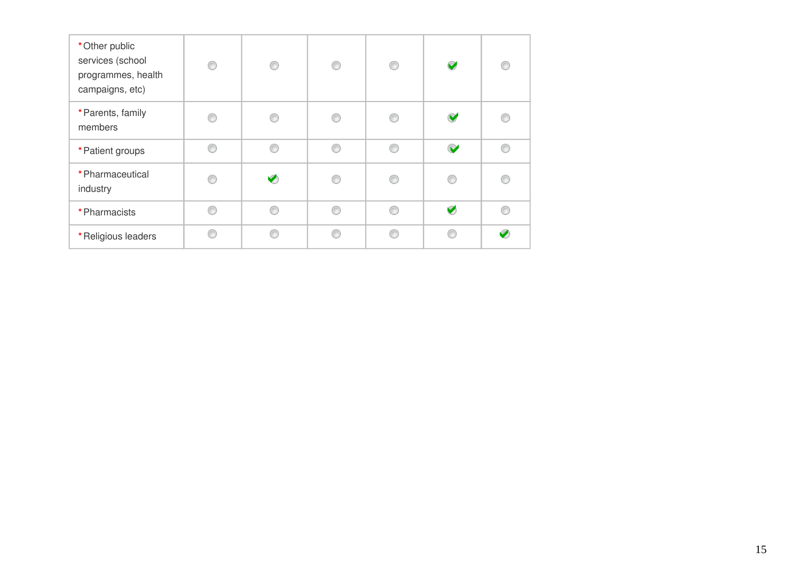| * Other public<br>services (school<br>programmes, health<br>campaigns, etc) | ⋒ | ∩ | ⋒ | ⊙ | $\blacktriangledown$ | e |
|-----------------------------------------------------------------------------|---|---|---|---|----------------------|---|
| * Parents, family<br>members                                                |   |   |   | e | V                    |   |
| * Patient groups                                                            |   |   |   | € | V                    |   |
| * Pharmaceutical<br>industry                                                |   |   |   | € |                      |   |
| * Pharmacists                                                               |   |   |   | ß | Ø                    |   |
| *Religious leaders                                                          |   |   |   | e |                      |   |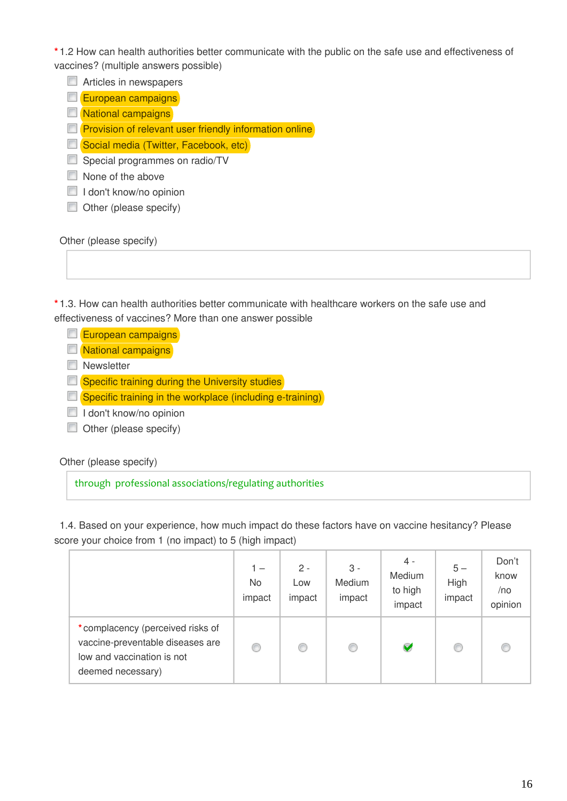**\*** 1.2 How can health authorities better communicate with the public on the safe use and effectiveness of vaccines? (multiple answers possible)

Articles in newspapers

European campaigns

**National campaigns** 

**Provision of relevant user friendly information online** 

Social media (Twitter, Facebook, etc)

Special programmes on radio/TV

None of the above

 $\Box$  I don't know/no opinion

Other (please specify)

Other (please specify)

**\*** 1.3. How can health authorities better communicate with healthcare workers on the safe use and effectiveness of vaccines? More than one answer possible

 $\Box$  European campaigns

**National campaigns** 

**Newsletter** 

**Specific training during the University studies** 

 $\Box$  Specific training in the workplace (including e-training)

I don't know/no opinion

Other (please specify)

Other (please specify)

through professional associations/regulating authorities

1.4. Based on your experience, how much impact do these factors have on vaccine hesitancy? Please score your choice from 1 (no impact) to 5 (high impact)

|                                                                                                                         | 1 —<br>No.<br>impact | $2 -$<br>Low<br>impact | 3 -<br>Medium<br>impact | 4 -<br>Medium<br>to high<br>impact | $5-$<br>High<br>impact | Don't<br>know<br>/no<br>opinion |
|-------------------------------------------------------------------------------------------------------------------------|----------------------|------------------------|-------------------------|------------------------------------|------------------------|---------------------------------|
| *complacency (perceived risks of<br>vaccine-preventable diseases are<br>low and vaccination is not<br>deemed necessary) | O                    |                        | 0                       | V                                  | ◎                      |                                 |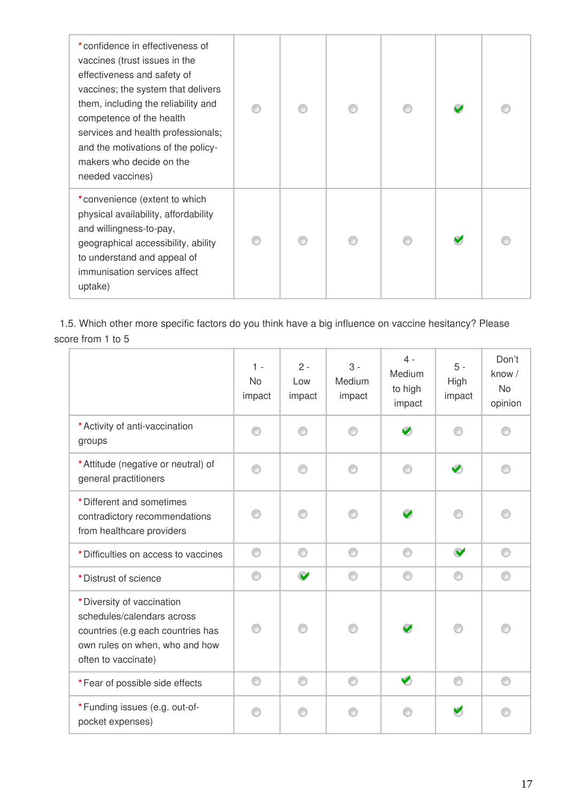| *confidence in effectiveness of<br>vaccines (trust issues in the<br>effectiveness and safety of<br>vaccines; the system that delivers<br>them, including the reliability and<br>competence of the health<br>services and health professionals;<br>and the motivations of the policy-<br>makers who decide on the<br>needed vaccines) |  |  |  |
|--------------------------------------------------------------------------------------------------------------------------------------------------------------------------------------------------------------------------------------------------------------------------------------------------------------------------------------|--|--|--|
| *convenience (extent to which<br>physical availability, affordability<br>and willingness-to-pay,<br>geographical accessibility, ability<br>to understand and appeal of<br>immunisation services affect<br>uptake)                                                                                                                    |  |  |  |

1.5. Which other more specific factors do you think have a big influence on vaccine hesitancy? Please score from 1 to 5

|                                                                                                                                                        | $1 -$<br><b>No</b><br>impact | $2 -$<br>Low<br>impact | $3 -$<br>Medium<br>impact | $4 -$<br>Medium<br>to high<br>impact | $5 -$<br>High<br>impact | Don't<br>know /<br><b>No</b><br>opinion |
|--------------------------------------------------------------------------------------------------------------------------------------------------------|------------------------------|------------------------|---------------------------|--------------------------------------|-------------------------|-----------------------------------------|
| * Activity of anti-vaccination<br>groups                                                                                                               | ∩                            |                        |                           | Ø                                    | ⋒                       |                                         |
| * Attitude (negative or neutral) of<br>general practitioners                                                                                           | ∩                            | ∩                      | ∩                         | ⊙                                    | Ø                       |                                         |
| * Different and sometimes<br>contradictory recommendations<br>from healthcare providers                                                                |                              |                        |                           | V                                    |                         |                                         |
| * Difficulties on access to vaccines                                                                                                                   | ⊙                            | ⊙                      | ⊙                         | ⊙                                    | $\blacktriangledown$    | ⊙                                       |
| * Distrust of science                                                                                                                                  | ⊙                            | $\blacktriangledown$   | ⊙                         | ∩                                    | ⊙                       | ⋒                                       |
| * Diversity of vaccination<br>schedules/calendars across<br>countries (e.g each countries has<br>own rules on when, who and how<br>often to vaccinate) | ∩                            | ∩                      | ⊙                         | V                                    | ∩                       |                                         |
| *Fear of possible side effects                                                                                                                         | ∩                            | ∩                      | ⊙                         | $\blacktriangledown$                 | ⊙                       | ⋒                                       |
| *Funding issues (e.g. out-of-<br>pocket expenses)                                                                                                      |                              | ⋒                      |                           |                                      | $\blacktriangledown$    |                                         |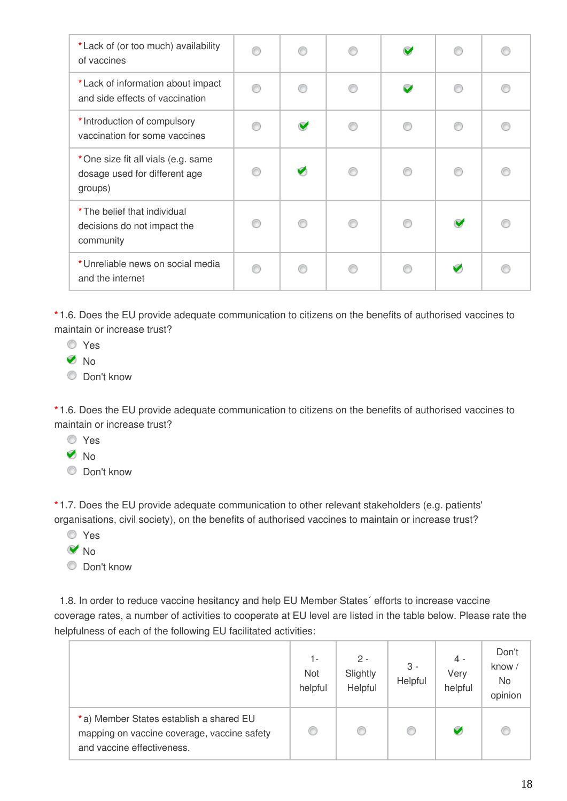| * Lack of (or too much) availability<br>of vaccines                            |                      | $\mathbf{\Omega}$        |                      |  |
|--------------------------------------------------------------------------------|----------------------|--------------------------|----------------------|--|
| *Lack of information about impact<br>and side effects of vaccination           |                      | $\overline{\phantom{0}}$ |                      |  |
| * Introduction of compulsory<br>vaccination for some vaccines                  | $\blacktriangledown$ | ⋒                        | ⋒                    |  |
| *One size fit all vials (e.g. same<br>dosage used for different age<br>groups) | Ø                    | ⋒                        |                      |  |
| * The belief that individual<br>decisions do not impact the<br>community       | ⋒                    | ⋒                        | $\blacktriangledown$ |  |
| *Unreliable news on social media<br>and the internet                           |                      |                          | V                    |  |

**\*** 1.6. Does the EU provide adequate communication to citizens on the benefits of authorised vaccines to maintain or increase trust?

- Yes
- **No**
- C Don't know

**\*** 1.6. Does the EU provide adequate communication to citizens on the benefits of authorised vaccines to maintain or increase trust?

- Yes
- **V** No
- $\circledcirc$  Don't know

**\*** 1.7. Does the EU provide adequate communication to other relevant stakeholders (e.g. patients' organisations, civil society), on the benefits of authorised vaccines to maintain or increase trust?

- Yes
- **V** No
- **O** Don't know

1.8. In order to reduce vaccine hesitancy and help EU Member States´ efforts to increase vaccine coverage rates, a number of activities to cooperate at EU level are listed in the table below. Please rate the helpfulness of each of the following EU facilitated activities:

|                                                                                                                      | 1-<br>Not<br>helpful | $2 -$<br>Slightly<br>Helpful | $3 -$<br>Helpful | 4 -<br>Very<br>helpful | Don't<br>know /<br>No<br>opinion |
|----------------------------------------------------------------------------------------------------------------------|----------------------|------------------------------|------------------|------------------------|----------------------------------|
| *a) Member States establish a shared EU<br>mapping on vaccine coverage, vaccine safety<br>and vaccine effectiveness. |                      | ⊙                            | ⊙                | V                      |                                  |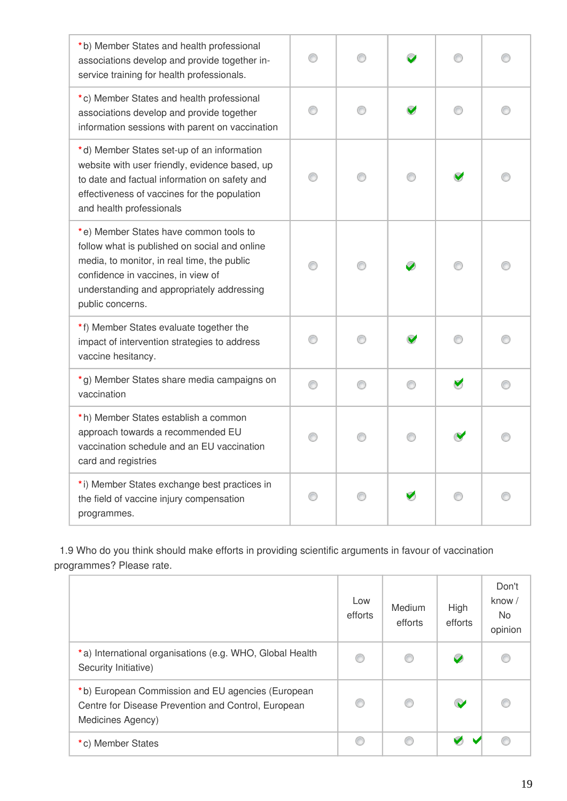| *b) Member States and health professional<br>associations develop and provide together in-<br>service training for health professionals.                                                                                                       |   |   |   |  |
|------------------------------------------------------------------------------------------------------------------------------------------------------------------------------------------------------------------------------------------------|---|---|---|--|
| *c) Member States and health professional<br>associations develop and provide together<br>information sessions with parent on vaccination                                                                                                      |   | ∩ |   |  |
| *d) Member States set-up of an information<br>website with user friendly, evidence based, up<br>to date and factual information on safety and<br>effectiveness of vaccines for the population<br>and health professionals                      |   |   |   |  |
| *e) Member States have common tools to<br>follow what is published on social and online<br>media, to monitor, in real time, the public<br>confidence in vaccines, in view of<br>understanding and appropriately addressing<br>public concerns. |   |   |   |  |
| *f) Member States evaluate together the<br>impact of intervention strategies to address<br>vaccine hesitancy.                                                                                                                                  |   |   |   |  |
| *g) Member States share media campaigns on<br>vaccination                                                                                                                                                                                      | ⊙ | ∩ | ∩ |  |
| *h) Member States establish a common<br>approach towards a recommended EU<br>vaccination schedule and an EU vaccination<br>card and registries                                                                                                 |   |   |   |  |
| *i) Member States exchange best practices in<br>the field of vaccine injury compensation<br>programmes.                                                                                                                                        |   |   |   |  |

1.9 Who do you think should make efforts in providing scientific arguments in favour of vaccination programmes? Please rate.

|                                                                                                                               | Low<br>efforts | Medium<br>efforts | High<br>efforts       | Don't<br>know $/$<br><b>No</b><br>opinion |
|-------------------------------------------------------------------------------------------------------------------------------|----------------|-------------------|-----------------------|-------------------------------------------|
| *a) International organisations (e.g. WHO, Global Health<br>Security Initiative)                                              | ⊙              |                   | $\blacktriangleright$ |                                           |
| *b) European Commission and EU agencies (European<br>Centre for Disease Prevention and Control, European<br>Medicines Agency) |                |                   | $\mathbf{v}$          |                                           |
| *c) Member States                                                                                                             |                |                   |                       |                                           |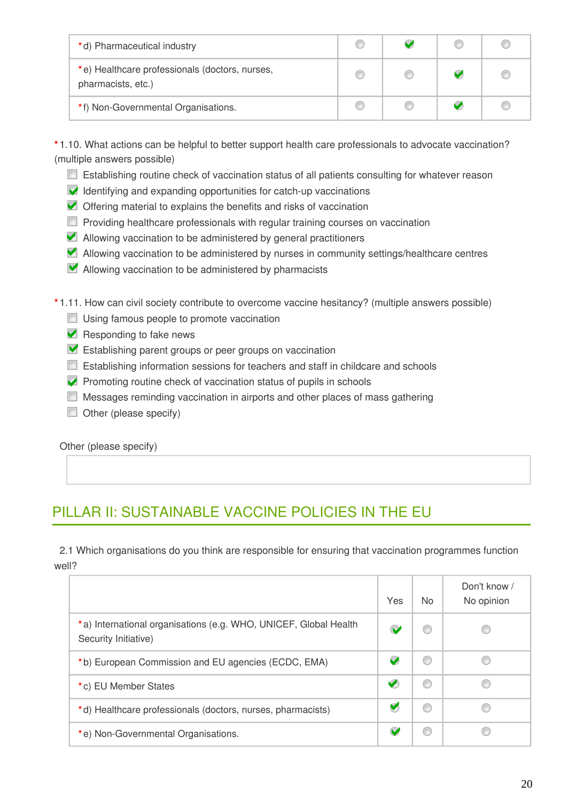| *d) Pharmaceutical industry                                          |  |  |
|----------------------------------------------------------------------|--|--|
| *e) Healthcare professionals (doctors, nurses,<br>pharmacists, etc.) |  |  |
| *f) Non-Governmental Organisations.                                  |  |  |

**\*** 1.10. What actions can be helpful to better support health care professionals to advocate vaccination? (multiple answers possible)

- **E** Establishing routine check of vaccination status of all patients consulting for whatever reason
- $\blacktriangleright$  Identifying and expanding opportunities for catch-up vaccinations
- Offering material to explains the benefits and risks of vaccination
- $\Box$  Providing healthcare professionals with regular training courses on vaccination
- Allowing vaccination to be administered by general practitioners
- Allowing vaccination to be administered by nurses in community settings/healthcare centres
- **Allowing vaccination to be administered by pharmacists**

**\*** 1.11. How can civil society contribute to overcome vaccine hesitancy? (multiple answers possible)

- Using famous people to promote vaccination
- $\blacktriangleright$  Responding to fake news
- **Establishing parent groups or peer groups on vaccination**
- **Establishing information sessions for teachers and staff in childcare and schools**
- $\blacktriangleright$  Promoting routine check of vaccination status of pupils in schools
- Messages reminding vaccination in airports and other places of mass gathering
- $\Box$  Other (please specify)

Other (please specify)

## PILLAR II: SUSTAINABLE VACCINE POLICIES IN THE EU

2.1 Which organisations do you think are responsible for ensuring that vaccination programmes function well?

|                                                                                          | Yes | No. | Don't know /<br>No opinion |
|------------------------------------------------------------------------------------------|-----|-----|----------------------------|
| *a) International organisations (e.g. WHO, UNICEF, Global Health<br>Security Initiative) |     | w   |                            |
| *b) European Commission and EU agencies (ECDC, EMA)                                      |     | O   |                            |
| *c) EU Member States                                                                     | V   | ⊛   |                            |
| *d) Healthcare professionals (doctors, nurses, pharmacists)                              | V   | €   |                            |
| *e) Non-Governmental Organisations.                                                      |     | O   |                            |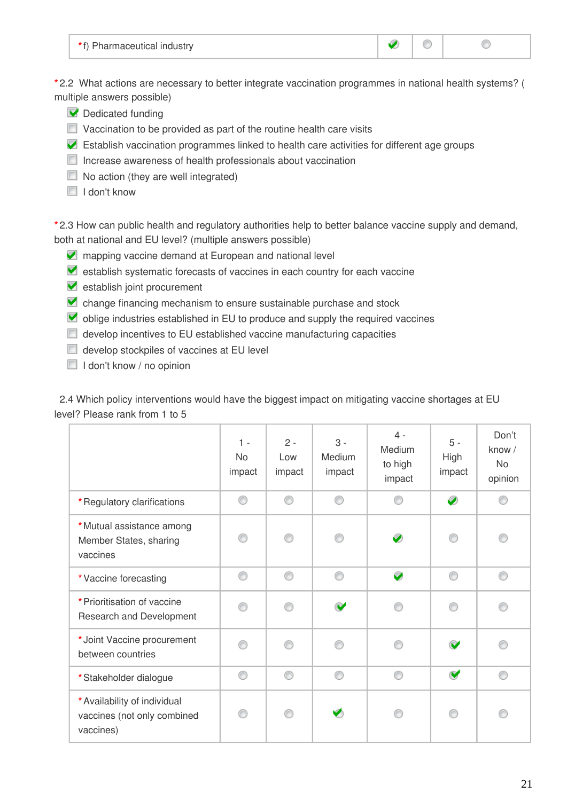| $\sim$ $\sim$<br>.<br>THOUSITY. |  |  |  |
|---------------------------------|--|--|--|
|---------------------------------|--|--|--|

**\*** 2.2 What actions are necessary to better integrate vaccination programmes in national health systems? ( multiple answers possible)

- Dedicated funding
- $\Box$  Vaccination to be provided as part of the routine health care visits
- Establish vaccination programmes linked to health care activities for different age groups
- $\Box$  Increase awareness of health professionals about vaccination
- $\Box$  No action (they are well integrated)
- $\Box$  I don't know

**\*** 2.3 How can public health and regulatory authorities help to better balance vaccine supply and demand, both at national and EU level? (multiple answers possible)

- **Z** mapping vaccine demand at European and national level
- **Example 3** and the country for the country for each vaccine
- establish joint procurement
- change financing mechanism to ensure sustainable purchase and stock
- oblige industries established in EU to produce and supply the required vaccines
- develop incentives to EU established vaccine manufacturing capacities
- $\Box$  develop stockpiles of vaccines at EU level
- $\Box$  I don't know / no opinion

2.4 Which policy interventions would have the biggest impact on mitigating vaccine shortages at EU level? Please rank from 1 to 5

|                                                                          | $1 -$<br><b>No</b><br>impact | $2 -$<br>Low<br>impact | $3 -$<br>Medium<br>impact | $4 -$<br>Medium<br>to high<br>impact | $5 -$<br>High<br>impact | Don't<br>know /<br><b>No</b><br>opinion |
|--------------------------------------------------------------------------|------------------------------|------------------------|---------------------------|--------------------------------------|-------------------------|-----------------------------------------|
| * Regulatory clarifications                                              | ∩                            | ⊙                      | ∩                         | ⋒                                    | Ø                       | ∩                                       |
| * Mutual assistance among<br>Member States, sharing<br>vaccines          | ⋒                            | ∩                      | ⋒                         | $\bullet$                            | ⋒                       |                                         |
| * Vaccine forecasting                                                    | ◉                            | ⊙                      | ⊙                         | $\bullet$                            | ∩                       | 0                                       |
| * Prioritisation of vaccine<br>Research and Development                  | ⋒                            | ⊙                      | V                         |                                      | ⋒                       |                                         |
| *Joint Vaccine procurement<br>between countries                          |                              | ⋒                      |                           |                                      | $\bullet$               |                                         |
| *Stakeholder dialogue                                                    | ⊙                            | ⊙                      | ⋒                         | ∩                                    | $\bullet$               | ⊙                                       |
| * Availability of individual<br>vaccines (not only combined<br>vaccines) |                              | ∩                      |                           |                                      |                         |                                         |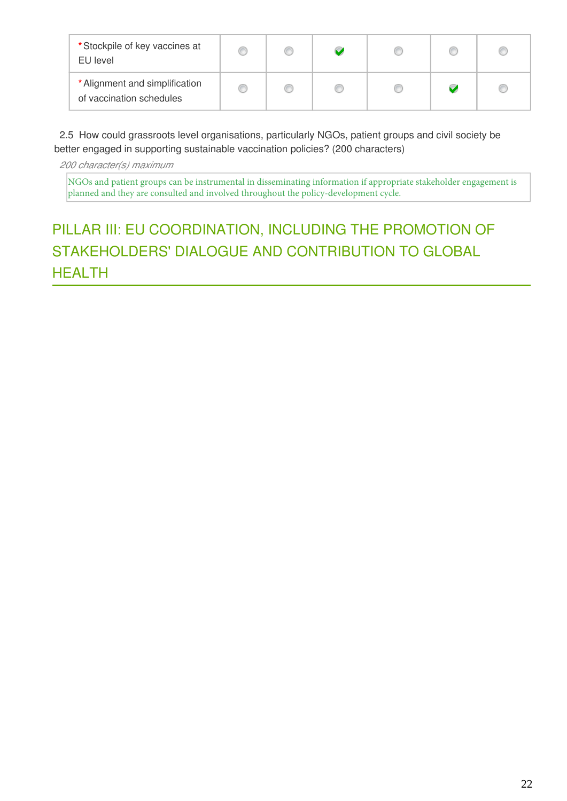| * Stockpile of key vaccines at<br>EU level                 |  |  |  |
|------------------------------------------------------------|--|--|--|
| * Alignment and simplification<br>of vaccination schedules |  |  |  |

2.5 How could grassroots level organisations, particularly NGOs, patient groups and civil society be better engaged in supporting sustainable vaccination policies? (200 characters)

*200 character(s) maximum*

NGOs and patient groups can be instrumental in disseminating information if appropriate stakeholder engagement is planned and they are consulted and involved throughout the policy-development cycle.

# PILLAR III: EU COORDINATION, INCLUDING THE PROMOTION OF STAKEHOLDERS' DIALOGUE AND CONTRIBUTION TO GLOBAL **HEALTH**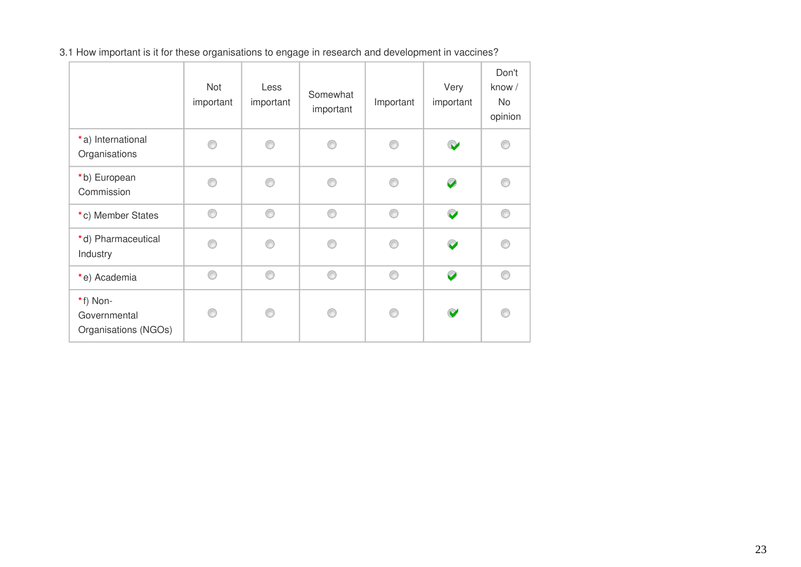3.1 How important is it for these organisations to engage in research and development in vaccines?

|                                                  | Not<br>important | Less<br>important | Somewhat<br>important | Important | Very<br>important | Don't<br>know /<br>No<br>opinion |
|--------------------------------------------------|------------------|-------------------|-----------------------|-----------|-------------------|----------------------------------|
| *a) International<br>Organisations               |                  | ⋒                 |                       |           | $\bullet$         |                                  |
| *b) European<br>Commission                       |                  | €                 | ⋒                     | ⋒         | $\bullet$         |                                  |
| *c) Member States                                | ⋒                | ⊙                 | ⊙                     | ◉         | $\bullet$         | ⊙                                |
| *d) Pharmaceutical<br>Industry                   |                  | ⋒                 | ⋒                     | ⋒         | $\mathbf{C}$      |                                  |
| *e) Academia                                     | ∩                | ⊙                 | ⊙                     | ⊙         | $\bullet$         | ⊙                                |
| *f) Non-<br>Governmental<br>Organisations (NGOs) |                  | ⋒                 | ⋒                     | ⋒         | $\bullet$         | ⋒                                |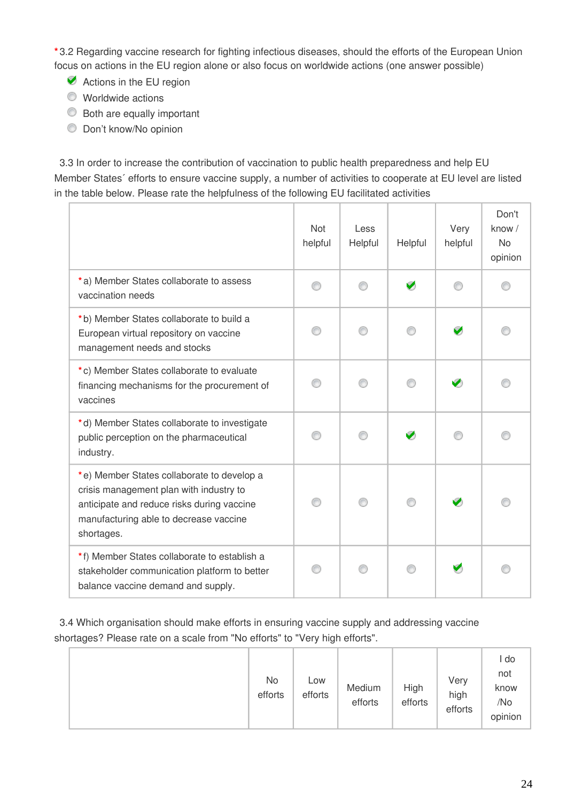**\*** 3.2 Regarding vaccine research for fighting infectious diseases, should the efforts of the European Union focus on actions in the EU region alone or also focus on worldwide actions (one answer possible)

- Actions in the EU region
- Worldwide actions
- **Both are equally important**
- Don't know/No opinion

3.3 In order to increase the contribution of vaccination to public health preparedness and help EU Member States´ efforts to ensure vaccine supply, a number of activities to cooperate at EU level are listed in the table below. Please rate the helpfulness of the following EU facilitated activities

|                                                                                                                                                                                             | <b>Not</b><br>helpful | Less<br>Helpful | Helpful | Very<br>helpful | Don't<br>know /<br><b>No</b><br>opinion |
|---------------------------------------------------------------------------------------------------------------------------------------------------------------------------------------------|-----------------------|-----------------|---------|-----------------|-----------------------------------------|
| *a) Member States collaborate to assess<br>vaccination needs                                                                                                                                | ∩                     | ∩               | Ø       | ⋒               |                                         |
| *b) Member States collaborate to build a<br>European virtual repository on vaccine<br>management needs and stocks                                                                           |                       |                 | ∩       | V               |                                         |
| *c) Member States collaborate to evaluate<br>financing mechanisms for the procurement of<br>vaccines                                                                                        |                       |                 | ∩       | $\bullet$       |                                         |
| *d) Member States collaborate to investigate<br>public perception on the pharmaceutical<br>industry.                                                                                        |                       | ⋒               | Ø       |                 |                                         |
| *e) Member States collaborate to develop a<br>crisis management plan with industry to<br>anticipate and reduce risks during vaccine<br>manufacturing able to decrease vaccine<br>shortages. |                       | ⋒               | ∩       |                 |                                         |
| *f) Member States collaborate to establish a<br>stakeholder communication platform to better<br>balance vaccine demand and supply.                                                          |                       |                 |         |                 |                                         |

3.4 Which organisation should make efforts in ensuring vaccine supply and addressing vaccine shortages? Please rate on a scale from "No efforts" to "Very high efforts".

|  | No<br>efforts | Low<br>efforts | Medium<br>efforts | High<br>efforts | Very<br>high<br>efforts | l do<br>not<br>know<br>/No<br>opinion |
|--|---------------|----------------|-------------------|-----------------|-------------------------|---------------------------------------|
|--|---------------|----------------|-------------------|-----------------|-------------------------|---------------------------------------|